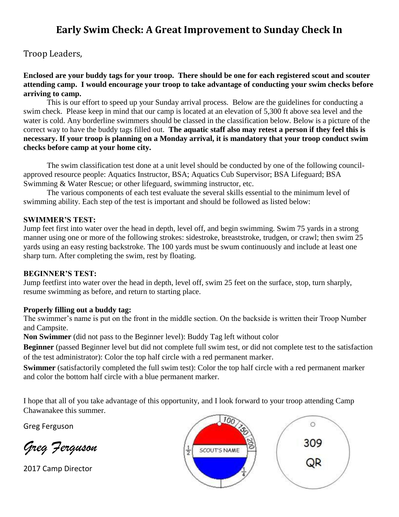## **Early Swim Check: A Great Improvement to Sunday Check In**

Troop Leaders,

**Enclosed are your buddy tags for your troop. There should be one for each registered scout and scouter attending camp. I would encourage your troop to take advantage of conducting your swim checks before arriving to camp.**

This is our effort to speed up your Sunday arrival process. Below are the guidelines for conducting a swim check. Please keep in mind that our camp is located at an elevation of 5,300 ft above sea level and the water is cold. Any borderline swimmers should be classed in the classification below. Below is a picture of the correct way to have the buddy tags filled out. **The aquatic staff also may retest a person if they feel this is necessary. If your troop is planning on a Monday arrival, it is mandatory that your troop conduct swim checks before camp at your home city.** 

The swim classification test done at a unit level should be conducted by one of the following councilapproved resource people: Aquatics Instructor, BSA; Aquatics Cub Supervisor; BSA Lifeguard; BSA Swimming & Water Rescue; or other lifeguard, swimming instructor, etc.

The various components of each test evaluate the several skills essential to the minimum level of swimming ability. Each step of the test is important and should be followed as listed below:

#### **SWIMMER'S TEST:**

Jump feet first into water over the head in depth, level off, and begin swimming. Swim 75 yards in a strong manner using one or more of the following strokes: sidestroke, breaststroke, trudgen, or crawl; then swim 25 yards using an easy resting backstroke. The 100 yards must be swum continuously and include at least one sharp turn. After completing the swim, rest by floating.

#### **BEGINNER'S TEST:**

Jump feetfirst into water over the head in depth, level off, swim 25 feet on the surface, stop, turn sharply, resume swimming as before, and return to starting place.

### **Properly filling out a buddy tag:**

The swimmer's name is put on the front in the middle section. On the backside is written their Troop Number and Campsite.

**Non Swimmer** (did not pass to the Beginner level): Buddy Tag left without color

**Beginner** (passed Beginner level but did not complete full swim test, or did not complete test to the satisfaction of the test administrator): Color the top half circle with a red permanent marker.

**Swimmer** (satisfactorily completed the full swim test): Color the top half circle with a red permanent marker and color the bottom half circle with a blue permanent marker.

I hope that all of you take advantage of this opportunity, and I look forward to your troop attending Camp Chawanakee this summer.

Greg Ferguson

*Greg Ferguson*

2017 Camp Director